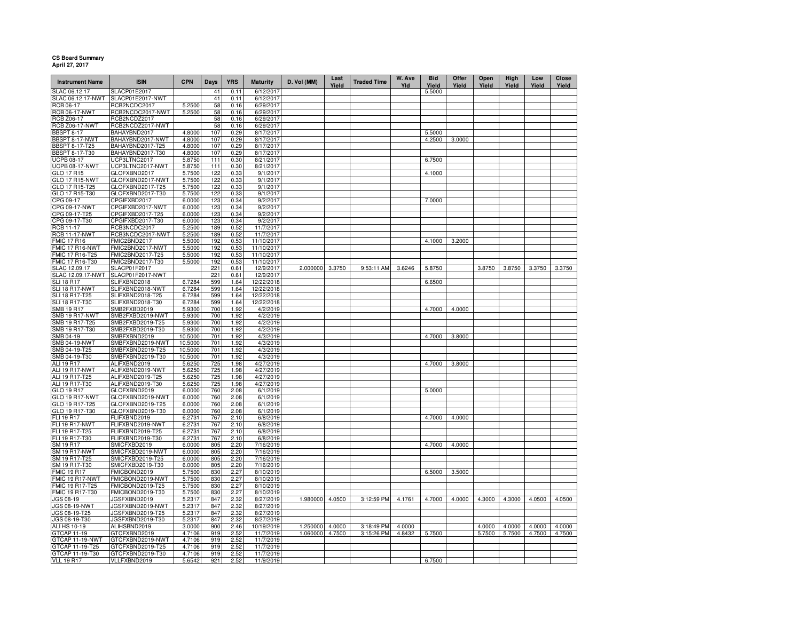## **CS Board Summary April 27, 2017**

| <b>Instrument Name</b>                  | <b>ISIN</b>                          | <b>CPN</b>         | Days       | <b>YRS</b>   | <b>Maturity</b>         | D. Vol (MM)     | Last<br>Yield | <b>Traded Time</b> | W. Ave<br>Yld | <b>Bid</b><br>Yield | Offer<br>Yield | Open<br>Yield | High<br>Yield | Low<br>Yield | Close<br>Yield |
|-----------------------------------------|--------------------------------------|--------------------|------------|--------------|-------------------------|-----------------|---------------|--------------------|---------------|---------------------|----------------|---------------|---------------|--------------|----------------|
| SLAC 06.12.17                           | SLACP01E2017                         |                    | 41         | 0.11         | 6/12/2017               |                 |               |                    |               | 5.5000              |                |               |               |              |                |
| SLAC 06.12.17-NWT                       | SLACP01E2017-NWT                     |                    | 41         | 0.11         | 6/12/2017               |                 |               |                    |               |                     |                |               |               |              |                |
| RCB 06-17<br><b>RCB 06-17-NWT</b>       | RCB2NCDC2017<br>RCB2NCDC2017-NWT     | 5.2500<br>5.2500   | 58<br>58   | 0.16<br>0.16 | 6/29/2017<br>6/29/2017  |                 |               |                    |               |                     |                |               |               |              |                |
| <b>RCB Z06-17</b>                       | RCB2NCDZ2017                         |                    | 58         | 0.16         | 6/29/2017               |                 |               |                    |               |                     |                |               |               |              |                |
| <b>RCB Z06-17-NWT</b>                   | RCB2NCDZ2017-NWT                     |                    | 58         | 0.16         | 6/29/2017               |                 |               |                    |               |                     |                |               |               |              |                |
| <b>BBSPT 8-17</b>                       | BAHAYBND2017                         | 4.8000             | 107        | 0.29         | 8/17/2017               |                 |               |                    |               | 5.5000              |                |               |               |              |                |
|                                         | BAHAYBND2017-NWT                     | 4.8000             | 107        | 0.29         | 8/17/2017               |                 |               |                    |               | 4.2500              | 3.0000         |               |               |              |                |
| BBSPT 8-17-NWT<br>BBSPT 8-17-T25        | 3AHAYBND2017-T25                     | 4.8000             | 107        | 0.29         | 8/17/2017               |                 |               |                    |               |                     |                |               |               |              |                |
| <b>BBSPT 8-17-T30</b>                   | BAHAYBND2017-T30                     | 4.8000             | 107        | 0.29         | 8/17/2017               |                 |               |                    |               |                     |                |               |               |              |                |
| <b>UCPB 08-17</b>                       | UCP3LTNC2017                         | 5.8750             | 111        | 0.30         | 8/21/2017               |                 |               |                    |               | 6.7500              |                |               |               |              |                |
| <b>UCPB 08-17-NWT</b>                   | UCP3LTNC2017-NWT                     | 5.8750             | 111        | 0.30         | 8/21/2017               |                 |               |                    |               |                     |                |               |               |              |                |
| GLO 17 R15                              | GLOFXBND2017                         | 5.7500             | 122        | 0.33         | 9/1/2017                |                 |               |                    |               | 4.1000              |                |               |               |              |                |
| <b>GLO 17 R15-NWT</b>                   | GLOFXBND2017-NWT                     | 5.7500             | 122        | 0.33         | 9/1/2017                |                 |               |                    |               |                     |                |               |               |              |                |
| GLO 17 R15-T25<br>GLO 17 R15-T30        | GLOFXBND2017-T25<br>GLOFXBND2017-T30 | 5.7500<br>5.7500   | 122<br>122 | 0.33<br>0.33 | 9/1/2017<br>9/1/2017    |                 |               |                    |               |                     |                |               |               |              |                |
| CPG 09-17                               | CPGIFXBD2017                         | 6.0000             | 123        | 0.34         | 9/2/2017                |                 |               |                    |               | 7.0000              |                |               |               |              |                |
| CPG 09-17-NWT                           | CPGIFXBD2017-NWT                     | 6.0000             | 123        | 0.34         | 9/2/2017                |                 |               |                    |               |                     |                |               |               |              |                |
| CPG 09-17-T25                           | CPGIFXBD2017-T25                     | 6.0000             | 123        | 0.34         | 9/2/2017                |                 |               |                    |               |                     |                |               |               |              |                |
| CPG 09-17-T30                           | CPGIFXBD2017-T30                     | 6.0000             | 123        | 0.34         | 9/2/2017                |                 |               |                    |               |                     |                |               |               |              |                |
| RCB 11-17                               | RCB3NCDC2017                         | 5.2500             | 189        | 0.52         | 11/7/2017               |                 |               |                    |               |                     |                |               |               |              |                |
| <b>RCB 11-17-NWT</b>                    | RCB3NCDC2017-NWT                     | 5.2500             | 189        | 0.52         | 11/7/2017               |                 |               |                    |               |                     |                |               |               |              |                |
| MIC 17 R16                              | FMIC2BND2017                         | 5.5000             | 192        | 0.53         | 11/10/2017              |                 |               |                    |               | 4.1000              | 3.2000         |               |               |              |                |
| FMIC 17 R16-NWT                         | FMIC2BND2017-NWT                     | 5.5000             | 192        | 0.53         | 11/10/2017              |                 |               |                    |               |                     |                |               |               |              |                |
| FMIC 17 R16-T25                         | FMIC2BND2017-T25                     | 5.5000             | 192        | 0.53         | 11/10/2017              |                 |               |                    |               |                     |                |               |               |              |                |
| FMIC 17 R16-T30                         | FMIC2BND2017-T30                     | 5.5000             | 192        | 0.53         | 11/10/2017              |                 |               |                    |               |                     |                |               |               |              |                |
| SLAC 12.09.17                           | SLACP01F2017                         |                    | 221        | 0.61         | 12/9/2017               | 2.000000 3.3750 |               | 9:53:11 AM         | 3.6246        | 5.8750              |                | 3.8750        | 3.8750        | 3.3750       | 3.3750         |
| SLAC 12.09.17-NWT<br><b>SLI 18 R17</b>  | SLACP01F2017-NWT<br>SLIFXBND2018     | 6.7284             | 221<br>599 | 0.61<br>1.64 | 12/9/2017<br>12/22/2018 |                 |               |                    |               | 6.6500              |                |               |               |              |                |
| SLI 18 R17-NWT                          | SLIFXBND2018-NWT                     | 6.7284             | 599        | 1.64         | 12/22/2018              |                 |               |                    |               |                     |                |               |               |              |                |
| SLI 18 R17-T25                          | SLIFXBND2018-T25                     | 6.7284             | 599        | 1.64         | 12/22/2018              |                 |               |                    |               |                     |                |               |               |              |                |
| SLI 18 R17-T30                          | SLIFXBND2018-T30                     | 6.7284             | 599        | 1.64         | 12/22/2018              |                 |               |                    |               |                     |                |               |               |              |                |
| <b>SMB 19 R17</b>                       | SMB2FXBD2019                         | 5.9300             | 700        | 1.92         | 4/2/2019                |                 |               |                    |               | 4.7000              | 4.0000         |               |               |              |                |
| <b>SMB 19 R17-NWT</b>                   | SMB2FXBD2019-NWT                     | 5.9300             | 700        | 1.92         | 4/2/2019                |                 |               |                    |               |                     |                |               |               |              |                |
| SMB 19 R17-T25                          | SMB2FXBD2019-T25                     | 5.9300             | 700        | 1.92         | 4/2/2019                |                 |               |                    |               |                     |                |               |               |              |                |
| SMB 19 R17-T30                          | SMB2FXBD2019-T30                     | 5.9300             | 700        | 1.92         | 4/2/2019                |                 |               |                    |               |                     |                |               |               |              |                |
| SMB 04-19                               | SMBFXBND2019                         | 10.5000            | 701        | 1.92         | 4/3/2019                |                 |               |                    |               | 4.7000              | 3.8000         |               |               |              |                |
| SMB 04-19-NWT                           | SMBFXBND2019-NWT                     | 10.5000            | 701        | 1.92         | 4/3/2019                |                 |               |                    |               |                     |                |               |               |              |                |
| SMB 04-19-T25<br>SMB 04-19-T30          | SMBFXBND2019-T25<br>SMBFXBND2019-T30 | 10.5000<br>10.5000 | 701<br>701 | 1.92<br>1.92 | 4/3/2019<br>4/3/2019    |                 |               |                    |               |                     |                |               |               |              |                |
| ALI 19 R17                              | ALIFXBND2019                         | 5.6250             | 725        | 1.98         | 4/27/2019               |                 |               |                    |               | 4.7000              | 3.8000         |               |               |              |                |
| ALI 19 R17-NWT                          | ALIFXBND2019-NWT                     | 5.6250             | 725        | 1.98         | 4/27/2019               |                 |               |                    |               |                     |                |               |               |              |                |
| ALI 19 R17-T25                          | ALIFXBND2019-T25                     | 5.6250             | 725        | 1.98         | 4/27/2019               |                 |               |                    |               |                     |                |               |               |              |                |
| ALI 19 R17-T30                          | ALIFXBND2019-T30                     | 5.6250             | 725        | 1.98         | 4/27/2019               |                 |               |                    |               |                     |                |               |               |              |                |
| GLO 19 R17                              | GLOFXBND2019                         | 6.0000             | 760        | 2.08         | 6/1/2019                |                 |               |                    |               | 5.0000              |                |               |               |              |                |
| <b>GLO 19 R17-NWT</b>                   | GLOFXBND2019-NWT                     | 6.0000             | 760        | 2.08         | 6/1/2019                |                 |               |                    |               |                     |                |               |               |              |                |
| GLO 19 R17-T25                          | GLOFXBND2019-T25                     | 6.0000             | 760        | 2.08         | 6/1/2019                |                 |               |                    |               |                     |                |               |               |              |                |
| GLO 19 R17-T30                          | GLOFXBND2019-T30                     | 6.0000             | 760        | 2.08         | 6/1/2019                |                 |               |                    |               |                     |                |               |               |              |                |
| FLI 19 R17                              | FLIFXBND2019                         | 6.2731             | 767        | 2.10         | 6/8/2019                |                 |               |                    |               | 4.7000              | 4.0000         |               |               |              |                |
| <b>FLI 19 R17-NWT</b><br>FLI 19 R17-T25 | FLIFXBND2019-NWT<br>FLIFXBND2019-T25 | 6.2731<br>6.2731   | 767<br>767 | 2.10<br>2.10 | 6/8/2019<br>6/8/2019    |                 |               |                    |               |                     |                |               |               |              |                |
| FLI 19 R17-T30                          | FLIFXBND2019-T30                     | 6.2731             | 767        | 2.10         | 6/8/2019                |                 |               |                    |               |                     |                |               |               |              |                |
| SM 19 R17                               | SMICFXBD2019                         | 6.0000             | 805        | 2.20         | 7/16/2019               |                 |               |                    |               | 4.7000              | 4.0000         |               |               |              |                |
| <b>SM 19 R17-NWT</b>                    | SMICFXBD2019-NWT                     | 6.0000             | 805        | 2.20         | 7/16/2019               |                 |               |                    |               |                     |                |               |               |              |                |
| SM 19 R17-T25                           | SMICFXBD2019-T25                     | 6.0000             | 805        | 2.20         | 7/16/2019               |                 |               |                    |               |                     |                |               |               |              |                |
| SM 19 R17-T30                           | SMICFXBD2019-T30                     | 6.0000             | 805        | 2.20         | 7/16/2019               |                 |               |                    |               |                     |                |               |               |              |                |
| <b>FMIC 19 R17</b>                      | FMICBOND2019                         | 5.7500             | 830        | 2.27         | 8/10/2019               |                 |               |                    |               | 6.5000              | 3.5000         |               |               |              |                |
| FMIC 19 R17-NWT                         | FMICBOND2019-NWT                     | 5.7500             | 830        | 2.27         | 8/10/2019               |                 |               |                    |               |                     |                |               |               |              |                |
| MIC 19 R17-T25                          | FMICBOND2019-T25                     | 5.7500             | 830        | 2.27         | 8/10/2019               |                 |               |                    |               |                     |                |               |               |              |                |
| FMIC 19 R17-T30                         | FMICBOND2019-T30                     | 5.7500             | 830        | 2.27         | 8/10/2019               |                 |               |                    |               |                     |                |               |               |              |                |
| JGS 08-19                               | JGSFXBND2019                         | 5.2317             | 847        | 2.32<br>2.32 | 8/27/2019               | 1.980000 4.0500 |               | 3:12:59 PM         | 4.1761        | 4.7000              | 4.0000         | 4.3000        | 4.3000        | 4.0500       | 4.0500         |
| <b>JGS 08-19-NWT</b><br>JGS 08-19-T25   | JGSFXBND2019-NWT<br>JGSFXBND2019-T25 | 5.2317<br>5.2317   | 847<br>847 | 2.32         | 8/27/2019<br>8/27/2019  |                 |               |                    |               |                     |                |               |               |              |                |
| JGS 08-19-T30                           | JGSFXBND2019-T30                     | 5.2317             | 847        | 2.32         | 8/27/2019               |                 |               |                    |               |                     |                |               |               |              |                |
| ALI HS 10-19                            | ALIHSBND2019                         | 3.0000             | 900        | 2.46         | 10/19/2019              | 1.250000        | 4.0000        | 3:18:49 PM         | 4.0000        |                     |                | 4.0000        | 4.0000        | 4.0000       | 4.0000         |
| GTCAP 11-19                             | GTCFXBND2019                         | 4.7106             | 919        | 2.52         | 11/7/2019               | 1.060000        | 4.7500        | 3:15:26 PM         | 4.8432        | 5.7500              |                | 5.7500        | 5.7500        | 4.7500       | 4.7500         |
| GTCAP 11-19-NWT                         | GTCFXBND2019-NWT                     | 4.7106             | 919        | 2.52         | 11/7/2019               |                 |               |                    |               |                     |                |               |               |              |                |
| GTCAP 11-19-T25                         | GTCFXBND2019-T25                     | 4.7106             | 919        | 2.52         | 11/7/2019               |                 |               |                    |               |                     |                |               |               |              |                |
| GTCAP 11-19-T30                         | GTCFXBND2019-T30                     | 4.7106             | 919        | 2.52         | 11/7/2019               |                 |               |                    |               |                     |                |               |               |              |                |
| <b>VLL 19 R17</b>                       | VLLFXBND2019                         | 5.6542             | 921        | 2.52         | 11/9/2019               |                 |               |                    |               | 6.7500              |                |               |               |              |                |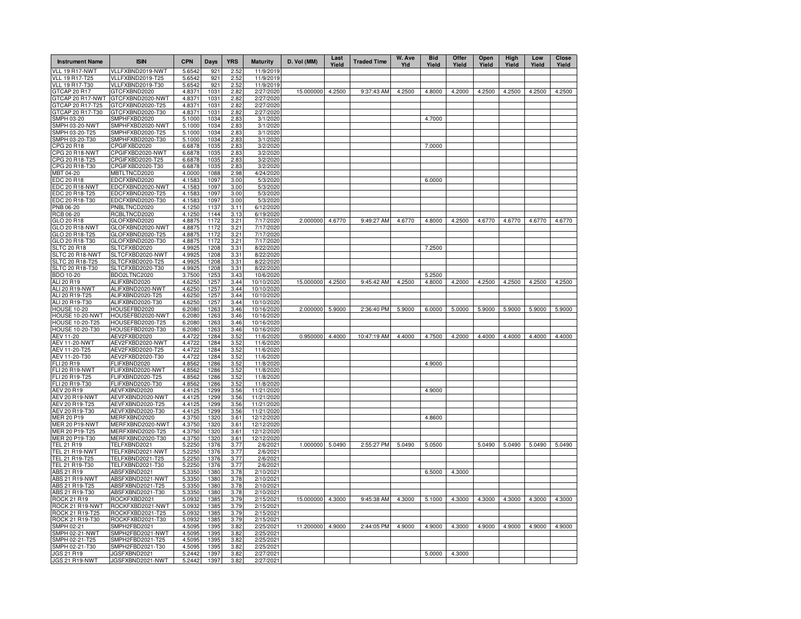| <b>Instrument Name</b>                    | <b>ISIN</b>                          | <b>CPN</b>       | Days         | <b>YRS</b>   | <b>Maturity</b>          | D. Vol (MM)      | Last<br>Yield | <b>Traded Time</b> | W. Ave<br>Yld | <b>Bid</b><br>Yield | Offer<br>Yield | Open<br>Yield | High<br>Yield | Low<br>Yield | <b>Close</b><br>Yield |
|-------------------------------------------|--------------------------------------|------------------|--------------|--------------|--------------------------|------------------|---------------|--------------------|---------------|---------------------|----------------|---------------|---------------|--------------|-----------------------|
| <b>VLL 19 R17-NWT</b>                     | VLLFXBND2019-NWT                     | 5.6542           | 921          | 2.52         | 11/9/2019                |                  |               |                    |               |                     |                |               |               |              |                       |
| VLL 19 R17-T25                            | VLLFXBND2019-T25                     | 5.6542           | 921          | 2.52         | 11/9/2019                |                  |               |                    |               |                     |                |               |               |              |                       |
| <b>VLL 19 R17-T30</b><br>GTCAP 20 R17     | VLLFXBND2019-T30<br>GTCFXBND2020     | 5.6542<br>4.8371 | 921<br>1031  | 2.52<br>2.82 | 11/9/2019<br>2/27/2020   | 15.000000 4.2500 |               | 9:37:43 AM         | 4.2500        | 4.8000              | 4.2000         | 4.2500        | 4.2500        | 4.2500       | 4.2500                |
| GTCAP 20 R17-NWT                          | GTCFXBND2020-NWT                     | 4.8371           | 1031         | 2.82         | 2/27/2020                |                  |               |                    |               |                     |                |               |               |              |                       |
| GTCAP 20 R17-T25                          | GTCFXBND2020-T25                     | 4.8371           | 1031         | 2.82         | 2/27/2020                |                  |               |                    |               |                     |                |               |               |              |                       |
| GTCAP 20 R17-T30                          | GTCFXBND2020-T30                     | 4.8371           | 1031         | 2.82         | 2/27/2020                |                  |               |                    |               |                     |                |               |               |              |                       |
| <b>SMPH 03-20</b>                         | SMPHFXBD2020                         | 5.1000           | 1034         | 2.83         | 3/1/2020                 |                  |               |                    |               | 4.7000              |                |               |               |              |                       |
| SMPH 03-20-NWT                            | SMPHFXBD2020-NWT                     | 5.1000           | 1034         | 2.83         | 3/1/2020                 |                  |               |                    |               |                     |                |               |               |              |                       |
| SMPH 03-20-T25                            | SMPHFXBD2020-T25                     | 5.1000           | 1034         | 2.83         | 3/1/2020                 |                  |               |                    |               |                     |                |               |               |              |                       |
| SMPH 03-20-T30<br>CPG 20 R18              | SMPHFXBD2020-T30<br>CPGIFXBD2020     | 5.1000<br>6.6878 | 1034<br>1035 | 2.83<br>2.83 | 3/1/2020<br>3/2/2020     |                  |               |                    |               | 7.0000              |                |               |               |              |                       |
| CPG 20 R18-NWT                            | CPGIFXBD2020-NWT                     | 6.6878           | 1035         | 2.83         | 3/2/2020                 |                  |               |                    |               |                     |                |               |               |              |                       |
| CPG 20 R18-T25                            | CPGIFXBD2020-T25                     | 6.6878           | 1035         | 2.83         | 3/2/2020                 |                  |               |                    |               |                     |                |               |               |              |                       |
| CPG 20 R18-T30                            | CPGIFXBD2020-T30                     | 6.6878           | 1035         | 2.83         | 3/2/2020                 |                  |               |                    |               |                     |                |               |               |              |                       |
| MBT 04-20                                 | MBTLTNCD2020                         | 4.0000           | 1088         | 2.98         | 4/24/2020                |                  |               |                    |               |                     |                |               |               |              |                       |
| EDC 20 R18                                | EDCFXBND2020                         | 4.1583           | 1097         | 3.00         | 5/3/2020                 |                  |               |                    |               | 6.0000              |                |               |               |              |                       |
| EDC 20 R18-NWT                            | EDCFXBND2020-NWT                     | 4.1583           | 1097         | 3.00         | 5/3/2020                 |                  |               |                    |               |                     |                |               |               |              |                       |
| EDC 20 R18-T25<br>EDC 20 R18-T30          | EDCFXBND2020-T25<br>EDCFXBND2020-T30 | 4.1583<br>4.1583 | 1097<br>1097 | 3.00<br>3.00 | 5/3/2020<br>5/3/2020     |                  |               |                    |               |                     |                |               |               |              |                       |
| PNB 06-20                                 | PNBLTNCD2020                         | 4.1250           | 1137         | 3.11         | 6/12/2020                |                  |               |                    |               |                     |                |               |               |              |                       |
| <b>RCB 06-20</b>                          | RCBLTNCD2020                         | 4.1250           | 1144         | 3.13         | 6/19/2020                |                  |               |                    |               |                     |                |               |               |              |                       |
| GLO 20 R18                                | GLOFXBND2020                         | 4.8875           | 1172         | 3.21         | 7/17/2020                | 2.000000         | 4.6770        | 9:49:27 AM         | 4.6770        | 4.8000              | 4.2500         | 4.6770        | 4.6770        | 4.6770       | 4.6770                |
| GLO 20 R18-NWT                            | GLOFXBND2020-NWT                     | 4.8875           | 1172         | 3.21         | 7/17/2020                |                  |               |                    |               |                     |                |               |               |              |                       |
| GLO 20 R18-T25                            | GLOFXBND2020-T25                     | 4.8875           | 1172         | 3.21         | 7/17/2020                |                  |               |                    |               |                     |                |               |               |              |                       |
| GLO 20 R18-T30                            | GLOFXBND2020-T30                     | 4.8875           | 1172         | 3.21         | 7/17/2020                |                  |               |                    |               |                     |                |               |               |              |                       |
| <b>SLTC 20 R18</b>                        | SLTCFXBD2020                         | 4.9925           | 1208         | 3.31         | 8/22/2020                |                  |               |                    |               | 7.2500              |                |               |               |              |                       |
| SLTC 20 R18-NWT                           | SLTCFXBD2020-NWT                     | 4.9925<br>4.9925 | 1208<br>1208 | 3.31         | 8/22/2020<br>8/22/2020   |                  |               |                    |               |                     |                |               |               |              |                       |
| <b>SLTC 20 R18-T25</b><br>SLTC 20 R18-T30 | SLTCFXBD2020-T25<br>SLTCFXBD2020-T30 | 4.9925           | 1208         | 3.31<br>3.31 | 8/22/2020                |                  |               |                    |               |                     |                |               |               |              |                       |
| BDO 10-20                                 | BDO2LTNC2020                         | 3.7500           | 1253         | 3.43         | 10/6/2020                |                  |               |                    |               | 5.2500              |                |               |               |              |                       |
| ALI 20 R19                                | ALIFXBND2020                         | 4.6250           | 1257         | 3.44         | 10/10/2020               | 15.000000 4.2500 |               | 9:45:42 AM         | 4.2500        | 4.8000              | 4.2000         | 4.2500        | 4.2500        | 4.2500       | 4.2500                |
| ALI 20 R19-NWT                            | ALIFXBND2020-NWT                     | 4.6250           | 1257         | 3.44         | 10/10/2020               |                  |               |                    |               |                     |                |               |               |              |                       |
| ALI 20 R19-T25                            | ALIFXBND2020-T25                     | 4.6250           | 1257         | 3.44         | 10/10/2020               |                  |               |                    |               |                     |                |               |               |              |                       |
| ALI 20 R19-T30                            | ALIFXBND2020-T30                     | 4.6250           | 1257         | 3.44         | 10/10/2020               |                  |               |                    |               |                     |                |               |               |              |                       |
| <b>HOUSE 10-20</b><br>HOUSE 10-20-NWT     | HOUSEFBD2020<br>HOUSEFBD2020-NWT     | 6.2080<br>6.2080 | 1263<br>1263 | 3.46<br>3.46 | 10/16/2020<br>10/16/2020 | 2.000000         | 5.9000        | 2:36:40 PM         | 5.9000        | 6.0000              | 5.0000         | 5.9000        | 5.9000        | 5.9000       | 5.9000                |
| HOUSE 10-20-T25                           | HOUSEFBD2020-T25                     | 6.2080           | 1263         | 3.46         | 10/16/2020               |                  |               |                    |               |                     |                |               |               |              |                       |
| HOUSE 10-20-T30                           | HOUSEFBD2020-T30                     | 6.2080           | 1263         | 3.46         | 10/16/2020               |                  |               |                    |               |                     |                |               |               |              |                       |
| AEV 11-20                                 | AEV2FXBD2020                         | 4.4722           | 1284         | 3.52         | 11/6/2020                | 0.950000         | 4.4000        | 10:47:19 AM        | 4.4000        | 4.7500              | 4.2000         | 4.4000        | 4.4000        | 4.4000       | 4.4000                |
| <b>AEV 11-20-NWT</b>                      | AEV2FXBD2020-NWT                     | 4.4722           | 1284         | 3.52         | 11/6/2020                |                  |               |                    |               |                     |                |               |               |              |                       |
| AEV 11-20-T25                             | AEV2FXBD2020-T25                     | 4.4722           | 1284         | 3.52         | 11/6/2020                |                  |               |                    |               |                     |                |               |               |              |                       |
| AEV 11-20-T30                             | AEV2FXBD2020-T30                     | 4.4722           | 1284         | 3.52         | 11/6/2020                |                  |               |                    |               |                     |                |               |               |              |                       |
| FLI 20 R19                                | FLIFXBND2020                         | 4.8562           | 1286         | 3.52         | 11/8/2020                |                  |               |                    |               | 4.9000              |                |               |               |              |                       |
| FLI 20 R19-NWT<br>FLI 20 R19-T25          | FLIFXBND2020-NWT<br>FLIFXBND2020-T25 | 4.8562<br>4.8562 | 1286<br>1286 | 3.52<br>3.52 | 11/8/2020<br>11/8/2020   |                  |               |                    |               |                     |                |               |               |              |                       |
| FLI 20 R19-T30                            | FLIFXBND2020-T30                     | 4.8562           | 1286         | 3.52         | 11/8/2020                |                  |               |                    |               |                     |                |               |               |              |                       |
| AEV 20 R19                                | AEVFXBND2020                         | 4.4125           | 1299         | 3.56         | 11/21/2020               |                  |               |                    |               | 4.9000              |                |               |               |              |                       |
| AEV 20 R19-NWT                            | AEVFXBND2020-NWT                     | 4.4125           | 1299         | 3.56         | 11/21/2020               |                  |               |                    |               |                     |                |               |               |              |                       |
| AEV 20 R19-T25                            | AEVFXBND2020-T25                     | 4.4125           | 1299         | 3.56         | 11/21/2020               |                  |               |                    |               |                     |                |               |               |              |                       |
| AEV 20 R19-T30                            | AEVFXBND2020-T30                     | 4.4125           | 1299         | 3.56         | 11/21/2020               |                  |               |                    |               |                     |                |               |               |              |                       |
| <b>MER 20 P19</b>                         | MERFXBND2020                         | 4.3750           | 1320         | 3.61         | 12/12/2020               |                  |               |                    |               | 4.8600              |                |               |               |              |                       |
| <b>MER 20 P19-NWT</b><br>MER 20 P19-T25   | MERFXBND2020-NWT<br>MERFXBND2020-T25 | 4.3750<br>4.3750 | 1320<br>1320 | 3.61<br>3.61 | 12/12/2020<br>12/12/2020 |                  |               |                    |               |                     |                |               |               |              |                       |
| MER 20 P19-T30                            | MERFXBND2020-T30                     | 4.3750           | 1320         | 3.61         | 12/12/2020               |                  |               |                    |               |                     |                |               |               |              |                       |
| TEL 21 R19                                | TELFXBND2021                         | 5.2250           | 1376         | 3.77         | 2/6/2021                 | 1.000000         | 5.0490        | 2:55:27 PM         | 5.0490        | 5.0500              |                | 5.0490        | 5.0490        | 5.0490       | 5.0490                |
| <b>TEL 21 R19-NWT</b>                     | TELFXBND2021-NWT                     | 5.2250           | 1376         | 3.77         | 2/6/2021                 |                  |               |                    |               |                     |                |               |               |              |                       |
| TEL 21 R19-T25                            | TELFXBND2021-T25                     | 5.2250           | 1376         | 3.77         | 2/6/2021                 |                  |               |                    |               |                     |                |               |               |              |                       |
| TEL 21 R19-T30                            | TELFXBND2021-T30                     | 5.2250           | 1376         | 3.77         | 2/6/2021                 |                  |               |                    |               |                     |                |               |               |              |                       |
| ABS 21 R19                                | ABSFXBND2021                         | 5.3350           | 1380         | 3.78         | 2/10/2021                |                  |               |                    |               | 6.5000              | 4.3000         |               |               |              |                       |
| <b>ABS 21 R19-NWT</b><br>ABS 21 R19-T25   | ABSFXBND2021-NWT<br>ABSFXBND2021-T25 | 5.3350<br>5.3350 | 1380<br>1380 | 3.78<br>3.78 | 2/10/2021<br>2/10/2021   |                  |               |                    |               |                     |                |               |               |              |                       |
| ABS 21 R19-T30                            | ABSFXBND2021-T30                     | 5.3350           | 1380         | 3.78         | 2/10/2021                |                  |               |                    |               |                     |                |               |               |              |                       |
| ROCK 21 R19                               | ROCKFXBD2021                         | 5.0932           | 1385         | 3.79         | 2/15/2021                | 15.000000 4.3000 |               | 9:45:38 AM         | 4.3000        | 5.1000              | 4.3000         | 4.3000        | 4.3000        | 4.3000       | 4.3000                |
| ROCK 21 R19-NWT                           | ROCKFXBD2021-NWT                     | 5.0932           | 1385         | 3.79         | 2/15/2021                |                  |               |                    |               |                     |                |               |               |              |                       |
| ROCK 21 R19-T25                           | ROCKFXBD2021-T25                     | 5.0932           | 1385         | 3.79         | 2/15/2021                |                  |               |                    |               |                     |                |               |               |              |                       |
| ROCK 21 R19-T30                           | ROCKFXBD2021-T30                     | 5.0932           | 1385         | 3.79         | 2/15/2021                |                  |               |                    |               |                     |                |               |               |              |                       |
| SMPH 02-21                                | SMPH2FBD2021                         | 4.5095           | 1395         | 3.82         | 2/25/2021                | 11.200000 4.9000 |               | 2:44:05 PM         | 4.9000        | 4.9000              | 4.3000         | 4.9000        | 4.9000        | 4.9000       | 4.9000                |
| SMPH 02-21-NWT                            | SMPH2FBD2021-NWT                     | 4.5095           | 1395         | 3.82         | 2/25/2021                |                  |               |                    |               |                     |                |               |               |              |                       |
| SMPH 02-21-T25<br>SMPH 02-21-T30          | SMPH2FBD2021-T25<br>SMPH2FBD2021-T30 | 4.5095<br>4.5095 | 1395<br>1395 | 3.82<br>3.82 | 2/25/2021<br>2/25/2021   |                  |               |                    |               |                     |                |               |               |              |                       |
| <b>JGS 21 R19</b>                         | JGSFXBND2021                         | 5.2442           | 1397         | 3.82         | 2/27/2021                |                  |               |                    |               | 5.0000              | 4.3000         |               |               |              |                       |
| <b>JGS 21 R19-NWT</b>                     | JGSFXBND2021-NWT                     | 5.2442           | 1397         | 3.82         | 2/27/2021                |                  |               |                    |               |                     |                |               |               |              |                       |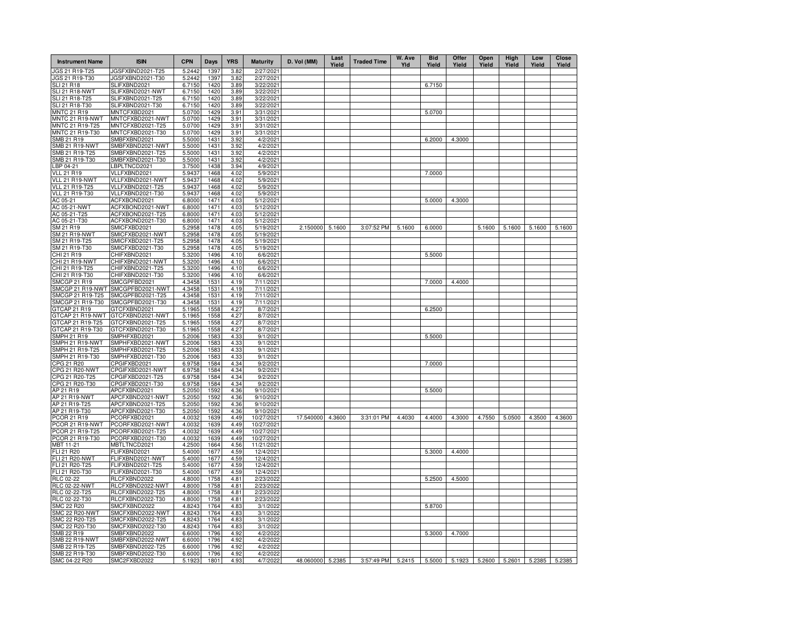| <b>Instrument Name</b>                   | <b>ISIN</b>                                           | <b>CPN</b>       | Days         | <b>YRS</b>   | <b>Maturity</b>         | D. Vol (MM)      | Last<br>Yield | <b>Traded Time</b> | W. Ave<br>Yld | <b>Bid</b><br>Yield | Offer<br>Yield | Open<br>Yield | High<br>Yield | Low<br>Yield | Close<br>Yield |
|------------------------------------------|-------------------------------------------------------|------------------|--------------|--------------|-------------------------|------------------|---------------|--------------------|---------------|---------------------|----------------|---------------|---------------|--------------|----------------|
| JGS 21 R19-T25                           | JGSFXBND2021-T25                                      | 5.2442           | 1397         | 3.82         | 2/27/2021               |                  |               |                    |               |                     |                |               |               |              |                |
| JGS 21 R19-T30                           | JGSFXBND2021-T30                                      | 5.2442           | 1397         | 3.82         | 2/27/2021               |                  |               |                    |               |                     |                |               |               |              |                |
| <b>SLI 21 R18</b>                        | SLIFXBND2021                                          | 6.7150           | 1420         | 3.89         | 3/22/2021               |                  |               |                    |               | 6.7150              |                |               |               |              |                |
| SLI 21 R18-NWT<br>SLI 21 R18-T25         | SLIFXBND2021-NWT<br>SLIFXBND2021-T25                  | 6.7150<br>6.7150 | 1420<br>1420 | 3.89<br>3.89 | 3/22/2021<br>3/22/2021  |                  |               |                    |               |                     |                |               |               |              |                |
| SLI 21 R18-T30                           | SLIFXBND2021-T30                                      | 6.7150           | 1420         | 3.89         | 3/22/2021               |                  |               |                    |               |                     |                |               |               |              |                |
| <b>MNTC 21 R19</b>                       | MNTCFXBD2021                                          | 5.0700           | 1429         | 3.91         | 3/31/2021               |                  |               |                    |               | 5.0700              |                |               |               |              |                |
| MNTC 21 R19-NWT                          | MNTCFXBD2021-NWT                                      | 5.0700           | 1429         | 3.91         | 3/31/2021               |                  |               |                    |               |                     |                |               |               |              |                |
| MNTC 21 R19-T25                          | MNTCFXBD2021-T25                                      | 5.0700           | 1429         | 3.91         | 3/31/2021               |                  |               |                    |               |                     |                |               |               |              |                |
| <b>MNTC 21 R19-T30</b>                   | MNTCFXBD2021-T30                                      | 5.0700           | 1429         | 3.91         | 3/31/2021               |                  |               |                    |               |                     |                |               |               |              |                |
| SMB 21 R19                               | SMBFXBND2021                                          | 5.5000           | 1431         | 3.92         | 4/2/2021                |                  |               |                    |               | 6.2000              | 4.3000         |               |               |              |                |
| SMB 21 R19-NWT<br>SMB 21 R19-T25         | SMBFXBND2021-NWT<br>SMBFXBND2021-T25                  | 5.5000<br>5.5000 | 1431<br>1431 | 3.92<br>3.92 | 4/2/2021<br>4/2/2021    |                  |               |                    |               |                     |                |               |               |              |                |
| SMB 21 R19-T30                           | SMBFXBND2021-T30                                      | 5.5000           | 1431         | 3.92         | 4/2/2021                |                  |               |                    |               |                     |                |               |               |              |                |
| LBP 04-21                                | BPLTNCD2021                                           | 3.7500           | 1438         | 3.94         | 4/9/2021                |                  |               |                    |               |                     |                |               |               |              |                |
| <b>VLL 21 R19</b>                        | VLLFXBND2021                                          | 5.9437           | 1468         | 4.02         | 5/9/2021                |                  |               |                    |               | 7.0000              |                |               |               |              |                |
| VLL 21 R19-NWT                           | VLLFXBND2021-NWT                                      | 5.9437           | 1468         | 4.02         | 5/9/2021                |                  |               |                    |               |                     |                |               |               |              |                |
| VLL 21 R19-T25                           | VLLFXBND2021-T25                                      | 5.9437           | 1468         | 4.02         | 5/9/2021                |                  |               |                    |               |                     |                |               |               |              |                |
| <b>VLL 21 R19-T30</b>                    | VLLFXBND2021-T30                                      | 5.9437           | 1468         | 4.02         | 5/9/2021                |                  |               |                    |               |                     |                |               |               |              |                |
| AC 05-21                                 | ACFXBOND2021                                          | 6.8000           | 1471         | 4.03         | 5/12/2021               |                  |               |                    |               | 5.0000              | 4.3000         |               |               |              |                |
| AC 05-21-NWT                             | ACFXBOND2021-NWT                                      | 6.8000           | 1471         | 4.03         | 5/12/2021               |                  |               |                    |               |                     |                |               |               |              |                |
| AC 05-21-T25<br>AC 05-21-T30             | ACFXBOND2021-T25<br>ACFXBOND2021-T30                  | 6.8000<br>6.8000 | 1471<br>1471 | 4.03<br>4.03 | 5/12/2021<br>5/12/2021  |                  |               |                    |               |                     |                |               |               |              |                |
| SM 21 R19                                | SMICFXBD2021                                          | 5.2958           | 1478         | 4.05         | 5/19/2021               | 2.150000         | 5.1600        | 3:07:52 PM         | 5.1600        | 6.0000              |                | 5.1600        | 5.1600        | 5.1600       | 5.1600         |
| <b>SM 21 R19-NWT</b>                     | SMICFXBD2021-NWT                                      | 5.2958           | 1478         | 4.05         | 5/19/2021               |                  |               |                    |               |                     |                |               |               |              |                |
| SM 21 R19-T25                            | SMICFXBD2021-T25                                      | 5.2958           | 1478         | 4.05         | 5/19/2021               |                  |               |                    |               |                     |                |               |               |              |                |
| SM 21 R19-T30                            | SMICFXBD2021-T30                                      | 5.2958           | 1478         | 4.05         | 5/19/2021               |                  |               |                    |               |                     |                |               |               |              |                |
| CHI 21 R19                               | CHIFXBND2021                                          | 5.3200           | 1496         | 4.10         | 6/6/2021                |                  |               |                    |               | 5.5000              |                |               |               |              |                |
| CHI 21 R19-NWT                           | CHIFXBND2021-NWT                                      | 5.3200           | 1496         | 4.10         | 6/6/2021                |                  |               |                    |               |                     |                |               |               |              |                |
| CHI 21 R19-T25                           | CHIFXBND2021-T25                                      | 5.3200           | 1496         | 4.10         | 6/6/2021                |                  |               |                    |               |                     |                |               |               |              |                |
| CHI 21 R19-T30                           | CHIFXBND2021-T30                                      | 5.3200           | 1496         | 4.10         | 6/6/2021                |                  |               |                    |               |                     |                |               |               |              |                |
| SMCGP 21 R19                             | SMCGPFBD2021                                          | 4.3458           | 1531         | 4.19<br>4.19 | 7/11/2021               |                  |               |                    |               | 7.0000              | 4.4000         |               |               |              |                |
| SMCGP 21 R19-T25                         | SMCGP 21 R19-NWT SMCGPFBD2021-NWT<br>SMCGPFBD2021-T25 | 4.3458<br>4.3458 | 1531<br>1531 | 4.19         | 7/11/2021<br>7/11/2021  |                  |               |                    |               |                     |                |               |               |              |                |
| SMCGP 21 R19-T30                         | SMCGPFBD2021-T30                                      | 4.3458           | 1531         | 4.19         | 7/11/2021               |                  |               |                    |               |                     |                |               |               |              |                |
| GTCAP 21 R19                             | GTCFXBND2021                                          | 5.1965           | 1558         | 4.27         | 8/7/2021                |                  |               |                    |               | 6.2500              |                |               |               |              |                |
| GTCAP 21 R19-NWT                         | GTCFXBND2021-NWT                                      | 5.1965           | 1558         | 4.27         | 8/7/2021                |                  |               |                    |               |                     |                |               |               |              |                |
| GTCAP 21 R19-T25                         | GTCFXBND2021-T25                                      | 5.1965           | 1558         | 4.27         | 8/7/2021                |                  |               |                    |               |                     |                |               |               |              |                |
| GTCAP 21 R19-T30                         | GTCFXBND2021-T30                                      | 5.1965           | 1558         | 4.27         | 8/7/2021                |                  |               |                    |               |                     |                |               |               |              |                |
| SMPH 21 R19                              | SMPHFXBD2021                                          | 5.2006           | 1583         | 4.33         | 9/1/2021                |                  |               |                    |               | 5.5000              |                |               |               |              |                |
| SMPH 21 R19-NWT                          | SMPHFXBD2021-NWT                                      | 5.2006           | 1583         | 4.33         | 9/1/2021                |                  |               |                    |               |                     |                |               |               |              |                |
| SMPH 21 R19-T25<br>SMPH 21 R19-T30       | SMPHFXBD2021-T25<br>SMPHFXBD2021-T30                  | 5.2006<br>5.2006 | 1583<br>1583 | 4.33<br>4.33 | 9/1/2021<br>9/1/2021    |                  |               |                    |               |                     |                |               |               |              |                |
| CPG 21 R20                               | CPGIFXBD2021                                          | 6.9758           | 1584         | 4.34         | 9/2/2021                |                  |               |                    |               | 7.0000              |                |               |               |              |                |
| CPG 21 R20-NWT                           | CPGIFXBD2021-NWT                                      | 6.9758           | 1584         | 4.34         | 9/2/2021                |                  |               |                    |               |                     |                |               |               |              |                |
| CPG 21 R20-T25                           | CPGIFXBD2021-T25                                      | 6.9758           | 1584         | 4.34         | 9/2/2021                |                  |               |                    |               |                     |                |               |               |              |                |
| CPG 21 R20-T30                           | CPGIFXBD2021-T30                                      | 6.9758           | 1584         | 4.34         | 9/2/2021                |                  |               |                    |               |                     |                |               |               |              |                |
| AP 21 R19                                | APCFXBND2021                                          | 5.2050           | 1592         | 4.36         | 9/10/2021               |                  |               |                    |               | 5.5000              |                |               |               |              |                |
| AP 21 R19-NWT                            | APCFXBND2021-NWT                                      | 5.2050           | 1592         | 4.36         | 9/10/2021               |                  |               |                    |               |                     |                |               |               |              |                |
| AP 21 R19-T25                            | APCFXBND2021-T25                                      | 5.2050           | 1592         | 4.36         | 9/10/2021               |                  |               |                    |               |                     |                |               |               |              |                |
| AP 21 R19-T30<br>PCOR 21 R19             | APCFXBND2021-T30<br>PCORFXBD2021                      | 5.2050<br>4.0032 | 1592<br>1639 | 4.36<br>4.49 | 9/10/2021<br>10/27/2021 | 17.540000 4.3600 |               | 3:31:01 PM         | 4.4030        | 4.4000              | 4.3000         | 4.7550        | 5.0500        | 4.3500       | 4.3600         |
| PCOR 21 R19-NWT                          | PCORFXBD2021-NWT                                      | 4.0032           | 1639         | 4.49         | 10/27/2021              |                  |               |                    |               |                     |                |               |               |              |                |
| PCOR 21 R19-T25                          | PCORFXBD2021-T25                                      | 4.0032           | 1639         | 4.49         | 10/27/2021              |                  |               |                    |               |                     |                |               |               |              |                |
| PCOR 21 R19-T30                          | PCORFXBD2021-T30                                      | 4.0032           | 1639         | 4.49         | 10/27/2021              |                  |               |                    |               |                     |                |               |               |              |                |
| MBT 11-21                                | MBTLTNCD2021                                          | 4.2500           | 1664         | 4.56         | 11/21/202               |                  |               |                    |               |                     |                |               |               |              |                |
| FLI 21 R20                               | FLIFXBND2021                                          | 5.4000           | 1677         | 4.59         | 12/4/2021               |                  |               |                    |               | 5.3000              | 4.4000         |               |               |              |                |
| <b>FLI 21 R20-NWT</b>                    | FLIFXBND2021-NWT                                      | 5.4000           | 1677         | 4.59         | 12/4/2021               |                  |               |                    |               |                     |                |               |               |              |                |
| FLI 21 R20-T25                           | FLIFXBND2021-T25                                      | 5.4000           | 1677         | 4.59         | 12/4/2021               |                  |               |                    |               |                     |                |               |               |              |                |
| FLI 21 R20-T30                           | FLIFXBND2021-T30                                      | 5.4000           | 1677         | 4.59         | 12/4/2021               |                  |               |                    |               |                     |                |               |               |              |                |
| <b>RLC 02-22</b><br><b>RLC 02-22-NWT</b> | RLCFXBND2022<br>RLCFXBND2022-NWT                      | 4.8000<br>4.8000 | 1758<br>1758 | 4.81<br>4.81 | 2/23/2022<br>2/23/2022  |                  |               |                    |               | 5.2500              | 4.5000         |               |               |              |                |
| RLC 02-22-T25                            | RLCFXBND2022-T25                                      | 4.8000           | 1758         | 4.81         | 2/23/2022               |                  |               |                    |               |                     |                |               |               |              |                |
| RLC 02-22-T30                            | RLCFXBND2022-T30                                      | 4.8000           | 1758         | 4.81         | 2/23/2022               |                  |               |                    |               |                     |                |               |               |              |                |
| <b>SMC 22 R20</b>                        | SMCFXBND2022                                          | 4.8243           | 1764         | 4.83         | 3/1/202                 |                  |               |                    |               | 5.8700              |                |               |               |              |                |
| SMC 22 R20-NWT                           | SMCFXBND2022-NWT                                      | 4.8243           | 1764         | 4.83         | 3/1/202                 |                  |               |                    |               |                     |                |               |               |              |                |
| SMC 22 R20-T25                           | SMCFXBND2022-T25                                      | 4.8243           | 1764         | 4.83         | 3/1/202                 |                  |               |                    |               |                     |                |               |               |              |                |
| SMC 22 R20-T30                           | SMCFXBND2022-T30                                      | 4.8243           | 1764         | 4.83         | 3/1/2022                |                  |               |                    |               |                     |                |               |               |              |                |
| SMB 22 R19                               | SMBFXBND2022                                          | 6.6000           | 1796         | 4.92         | 4/2/2022                |                  |               |                    |               | 5.3000              | 4.7000         |               |               |              |                |
| <b>SMB 22 R19-NWT</b>                    | SMBFXBND2022-NWT                                      | 6.6000           | 1796         | 4.92         | 4/2/2022                |                  |               |                    |               |                     |                |               |               |              |                |
| SMB 22 R19-T25<br>SMB 22 R19-T30         | SMBFXBND2022-T25<br>SMBFXBND2022-T30                  | 6.6000<br>6.6000 | 1796<br>1796 | 4.92<br>4.92 | 4/2/2022<br>4/2/2022    |                  |               |                    |               |                     |                |               |               |              |                |
| SMC 04-22 R20                            | SMC2FXBD2022                                          | 5.1923           | 1801         | 4.93         | 4/7/2022                | 48.060000 5.2385 |               | 3:57:49 PM         | 5.2415        | 5.5000              | 5.1923         | 5.2600        | 5.2601        | 5.2385       | 5.2385         |
|                                          |                                                       |                  |              |              |                         |                  |               |                    |               |                     |                |               |               |              |                |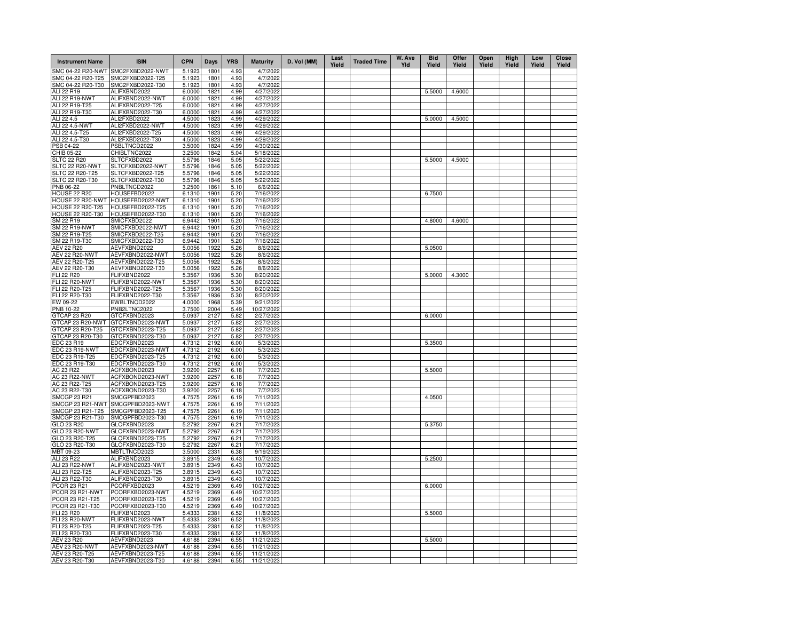| <b>Instrument Name</b>                | <b>ISIN</b>                          | <b>CPN</b>       | Days         | <b>YRS</b>   | <b>Maturity</b>        | D. Vol (MM) | Last<br>Yield | <b>Traded Time</b> | W. Ave<br>Yld | <b>Bid</b><br>Yield | Offer<br>Yield | Open<br>Yield | High<br>Yield | Low<br>Yield | <b>Close</b><br>Yield |
|---------------------------------------|--------------------------------------|------------------|--------------|--------------|------------------------|-------------|---------------|--------------------|---------------|---------------------|----------------|---------------|---------------|--------------|-----------------------|
| SMC 04-22 R20-NWT                     | SMC2FXBD2022-NWT                     | 5.1923           | 1801         | 4.93         | 4/7/2022               |             |               |                    |               |                     |                |               |               |              |                       |
| SMC 04-22 R20-T25                     | SMC2FXBD2022-T25                     | 5.1923           | 1801         | 4.93         | 4/7/2022               |             |               |                    |               |                     |                |               |               |              |                       |
| SMC 04-22 R20-T30                     | SMC2FXBD2022-T30                     | 5.1923           | 1801         | 4.93         | 4/7/2022               |             |               |                    |               |                     |                |               |               |              |                       |
| ALI 22 R19<br>ALI 22 R19-NWT          | ALIFXBND2022<br>ALIFXBND2022-NWT     | 6.0000<br>6.0000 | 1821<br>1821 | 4.99<br>4.99 | 4/27/2022<br>4/27/2022 |             |               |                    |               | 5.5000              | 4.6000         |               |               |              |                       |
| ALI 22 R19-T25                        | ALIFXBND2022-T25                     | 6.0000           | 1821         | 4.99         | 4/27/2022              |             |               |                    |               |                     |                |               |               |              |                       |
| ALI 22 R19-T30                        | ALIFXBND2022-T30                     | 6.0000           | 1821         | 4.99         | 4/27/2022              |             |               |                    |               |                     |                |               |               |              |                       |
| ALI 22 4.5                            | ALI2FXBD2022                         | 4.5000           | 1823         | 4.99         | 4/29/2022              |             |               |                    |               | 5.0000              | 4.5000         |               |               |              |                       |
| ALI 22 4.5-NWT                        | ALI2FXBD2022-NWT                     | 4.5000           | 1823         | 4.99         | 4/29/2022              |             |               |                    |               |                     |                |               |               |              |                       |
| ALI 22 4.5-T25                        | ALI2FXBD2022-T25                     | 4.5000           | 1823         | 4.99         | 4/29/2022              |             |               |                    |               |                     |                |               |               |              |                       |
| ALI 22 4.5-T30                        | ALI2FXBD2022-T30                     | 4.5000           | 1823         | 4.99         | 4/29/2022              |             |               |                    |               |                     |                |               |               |              |                       |
| PSB 04-22                             | PSBLTNCD2022                         | 3.5000           | 1824         | 4.99         | 4/30/2022              |             |               |                    |               |                     |                |               |               |              |                       |
| CHIB 05-22                            | CHIBLTNC2022                         | 3.2500           | 1842         | 5.04         | 5/18/2022              |             |               |                    |               |                     |                |               |               |              |                       |
| <b>SLTC 22 R20</b><br>SLTC 22 R20-NWT | SLTCFXBD2022<br>SLTCFXBD2022-NWT     | 5.5796           | 1846<br>1846 | 5.05<br>5.05 | 5/22/2022<br>5/22/2022 |             |               |                    |               | 5.5000              | 4.5000         |               |               |              |                       |
| SLTC 22 R20-T25                       | SLTCFXBD2022-T25                     | 5.5796<br>5.5796 | 1846         | 5.05         | 5/22/2022              |             |               |                    |               |                     |                |               |               |              |                       |
| SLTC 22 R20-T30                       | SLTCFXBD2022-T30                     | 5.5796           | 1846         | 5.05         | 5/22/2022              |             |               |                    |               |                     |                |               |               |              |                       |
| PNB 06-22                             | PNBLTNCD2022                         | 3.2500           | 1861         | 5.10         | 6/6/2022               |             |               |                    |               |                     |                |               |               |              |                       |
| <b>HOUSE 22 R20</b>                   | HOUSEFBD2022                         | 6.1310           | 1901         | 5.20         | 7/16/2022              |             |               |                    |               | 6.7500              |                |               |               |              |                       |
| HOUSE 22 R20-NWT                      | HOUSEFBD2022-NWT                     | 6.1310           | 1901         | 5.20         | 7/16/2022              |             |               |                    |               |                     |                |               |               |              |                       |
| <b>HOUSE 22 R20-T25</b>               | HOUSEFBD2022-T25                     | 6.1310           | 1901         | 5.20         | 7/16/2022              |             |               |                    |               |                     |                |               |               |              |                       |
| <b>HOUSE 22 R20-T30</b>               | HOUSEFBD2022-T30                     | 6.1310           | 1901         | 5.20         | 7/16/2022              |             |               |                    |               |                     |                |               |               |              |                       |
| SM 22 R19                             | SMICFXBD2022                         | 6.9442           | 1901         | 5.20         | 7/16/2022              |             |               |                    |               | 4.8000              | 4.6000         |               |               |              |                       |
| <b>SM 22 R19-NWT</b>                  | SMICFXBD2022-NWT                     | 6.9442           | 1901         | 5.20         | 7/16/2022              |             |               |                    |               |                     |                |               |               |              |                       |
| SM 22 R19-T25                         | SMICFXBD2022-T25                     | 6.9442           | 1901         | 5.20         | 7/16/2022              |             |               |                    |               |                     |                |               |               |              |                       |
| SM 22 R19-T30                         | SMICFXBD2022-T30                     | 6.9442           | 1901         | 5.20         | 7/16/2022              |             |               |                    |               |                     |                |               |               |              |                       |
| <b>AEV 22 R20</b>                     | AEVFXBND2022                         | 5.0056           | 1922         | 5.26         | 8/6/2022               |             |               |                    |               | 5.0500              |                |               |               |              |                       |
| AEV 22 R20-NWT<br>AEV 22 R20-T25      | AEVFXBND2022-NWT<br>AEVFXBND2022-T25 | 5.0056<br>5.0056 | 1922<br>1922 | 5.26<br>5.26 | 8/6/2022<br>8/6/2022   |             |               |                    |               |                     |                |               |               |              |                       |
| AEV 22 R20-T30                        | AEVFXBND2022-T30                     | 5.0056           | 1922         | 5.26         | 8/6/2022               |             |               |                    |               |                     |                |               |               |              |                       |
| FLI 22 R20                            | FLIFXBND2022                         | 5.3567           | 1936         | 5.30         | 8/20/2022              |             |               |                    |               | 5.0000              | 4.3000         |               |               |              |                       |
| <b>FLI 22 R20-NWT</b>                 | FLIFXBND2022-NWT                     | 5.3567           | 1936         | 5.30         | 8/20/2022              |             |               |                    |               |                     |                |               |               |              |                       |
| FLI 22 R20-T25                        | FLIFXBND2022-T25                     | 5.3567           | 1936         | 5.30         | 8/20/2022              |             |               |                    |               |                     |                |               |               |              |                       |
| FLI 22 R20-T30                        | FLIFXBND2022-T30                     | 5.3567           | 1936         | 5.30         | 8/20/2022              |             |               |                    |               |                     |                |               |               |              |                       |
| EW 09-22                              | EWBLTNCD2022                         | 4.0000           | 1968         | 5.39         | 9/21/2022              |             |               |                    |               |                     |                |               |               |              |                       |
| <b>PNB 10-22</b>                      | PNB2LTNC2022                         | 3.7500           | 2004         | 5.49         | 10/27/2022             |             |               |                    |               |                     |                |               |               |              |                       |
| GTCAP 23 R20                          | GTCFXBND2023                         | 5.0937           | 2127         | 5.82         | 2/27/2023              |             |               |                    |               | 6.0000              |                |               |               |              |                       |
| GTCAP 23 R20-NWT                      | GTCFXBND2023-NWT                     | 5.0937           | 2127         | 5.82         | 2/27/2023              |             |               |                    |               |                     |                |               |               |              |                       |
| GTCAP 23 R20-T25                      | GTCFXBND2023-T25                     | 5.0937           | 2127         | 5.82         | 2/27/2023              |             |               |                    |               |                     |                |               |               |              |                       |
| GTCAP 23 R20-T30                      | GTCFXBND2023-T30                     | 5.0937           | 2127         | 5.82         | 2/27/2023              |             |               |                    |               |                     |                |               |               |              |                       |
| EDC 23 R19<br>EDC 23 R19-NWT          | EDCFXBND2023<br>EDCFXBND2023-NWT     | 4.7312<br>4.7312 | 2192<br>2192 | 6.00<br>6.00 | 5/3/2023<br>5/3/2023   |             |               |                    |               | 5.3500              |                |               |               |              |                       |
| EDC 23 R19-T25                        | EDCFXBND2023-T25                     | 4.7312           | 2192         | 6.00         | 5/3/2023               |             |               |                    |               |                     |                |               |               |              |                       |
| EDC 23 R19-T30                        | EDCFXBND2023-T30                     | 4.7312           | 2192         | 6.00         | 5/3/2023               |             |               |                    |               |                     |                |               |               |              |                       |
| AC 23 R22                             | ACFXBOND2023                         | 3.9200           | 2257         | 6.18         | 7/7/2023               |             |               |                    |               | 5.5000              |                |               |               |              |                       |
| <b>AC 23 R22-NWT</b>                  | ACFXBOND2023-NWT                     | 3.9200           | 2257         | 6.18         | 7/7/2023               |             |               |                    |               |                     |                |               |               |              |                       |
| AC 23 R22-T25                         | ACFXBOND2023-T25                     | 3.9200           | 2257         | 6.18         | 7/7/2023               |             |               |                    |               |                     |                |               |               |              |                       |
| AC 23 R22-T30                         | ACFXBOND2023-T30                     | 3.9200           | 2257         | 6.18         | 7/7/2023               |             |               |                    |               |                     |                |               |               |              |                       |
| SMCGP 23 R21                          | SMCGPFBD2023                         | 4.7575           | 2261         | 6.19         | 7/11/2023              |             |               |                    |               | 4.0500              |                |               |               |              |                       |
| SMCGP 23 R21-NWT                      | SMCGPFBD2023-NWT                     | 4.7575           | 2261         | 6.19         | 7/11/2023              |             |               |                    |               |                     |                |               |               |              |                       |
| SMCGP 23 R21-T25                      | SMCGPFBD2023-T25                     | 4.7575           | 2261         | 6.19         | 7/11/2023              |             |               |                    |               |                     |                |               |               |              |                       |
| SMCGP 23 R21-T30                      | SMCGPFBD2023-T30                     | 4.7575           | 2261         | 6.19         | 7/11/2023              |             |               |                    |               |                     |                |               |               |              |                       |
| GLO 23 R20<br>GLO 23 R20-NWT          | GLOFXBND2023<br>GLOFXBND2023-NWT     | 5.2792<br>5.2792 | 2267<br>2267 | 6.21<br>6.21 | 7/17/2023<br>7/17/2023 |             |               |                    |               | 5.3750              |                |               |               |              |                       |
| GLO 23 R20-T25                        | GLOFXBND2023-T25                     | 5.2792           | 2267         | 6.21         | 7/17/2023              |             |               |                    |               |                     |                |               |               |              |                       |
| GLO 23 R20-T30                        | GLOFXBND2023-T30                     | 5.2792           | 2267         | 6.21         | 7/17/2023              |             |               |                    |               |                     |                |               |               |              |                       |
| MBT 09-23                             | MBTLTNCD2023                         | 3.5000           | 2331         | 6.38         | 9/19/2023              |             |               |                    |               |                     |                |               |               |              |                       |
| ALI 23 R22                            | ALIFXBND2023                         | 3.8915           | 2349         | 6.43         | 10/7/2023              |             |               |                    |               | 5.2500              |                |               |               |              |                       |
| ALI 23 R22-NWT                        | ALIFXBND2023-NWT                     | 3.8915           | 2349         | 6.43         | 10/7/2023              |             |               |                    |               |                     |                |               |               |              |                       |
| ALI 23 R22-T25                        | ALIFXBND2023-T25                     | 3.8915           | 2349         | 6.43         | 10/7/2023              |             |               |                    |               |                     |                |               |               |              |                       |
| ALI 23 R22-T30                        | ALIFXBND2023-T30                     | 3.8915           | 2349         | 6.43         | 10/7/2023              |             |               |                    |               |                     |                |               |               |              |                       |
| <b>PCOR 23 R21</b>                    | PCORFXBD2023                         | 4.5219           | 2369         | 6.49         | 10/27/2023             |             |               |                    |               | 6.0000              |                |               |               |              |                       |
| PCOR 23 R21-NWT                       | PCORFXBD2023-NWT                     | 4.5219           | 2369         | 6.49         | 10/27/2023             |             |               |                    |               |                     |                |               |               |              |                       |
| PCOR 23 R21-T25                       | PCORFXBD2023-T25                     | 4.5219           | 2369         | 6.49         | 10/27/2023             |             |               |                    |               |                     |                |               |               |              |                       |
| PCOR 23 R21-T30                       | PCORFXBD2023-T30                     | 4.5219           | 2369         | 6.49         | 10/27/2023             |             |               |                    |               |                     |                |               |               |              |                       |
| FLI 23 R20<br><b>FLI 23 R20-NWT</b>   | FLIFXBND2023<br>FLIFXBND2023-NWT     | 5.4333<br>5.4333 | 2381<br>2381 | 6.52<br>6.52 | 11/8/2023<br>11/8/2023 |             |               |                    |               | 5.5000              |                |               |               |              |                       |
| FLI 23 R20-T25                        | FLIFXBND2023-T25                     | 5.4333           | 2381         | 6.52         | 11/8/2023              |             |               |                    |               |                     |                |               |               |              |                       |
| FLI 23 R20-T30                        | FLIFXBND2023-T30                     | 5.4333           | 2381         | 6.52         | 11/8/2023              |             |               |                    |               |                     |                |               |               |              |                       |
| AEV 23 R20                            | AEVFXBND2023                         | 4.6188           | 2394         | 6.55         | 11/21/2023             |             |               |                    |               | 5.5000              |                |               |               |              |                       |
| <b>AEV 23 R20-NWT</b>                 | AEVFXBND2023-NWT                     | 4.6188           | 2394         | 6.55         | 11/21/2023             |             |               |                    |               |                     |                |               |               |              |                       |
| AEV 23 R20-T25                        | AEVFXBND2023-T25                     | 4.6188           | 2394         | 6.55         | 11/21/2023             |             |               |                    |               |                     |                |               |               |              |                       |
| AEV 23 R20-T30                        | AEVFXBND2023-T30                     | 4.6188           | 2394         | 6.55         | 11/21/2023             |             |               |                    |               |                     |                |               |               |              |                       |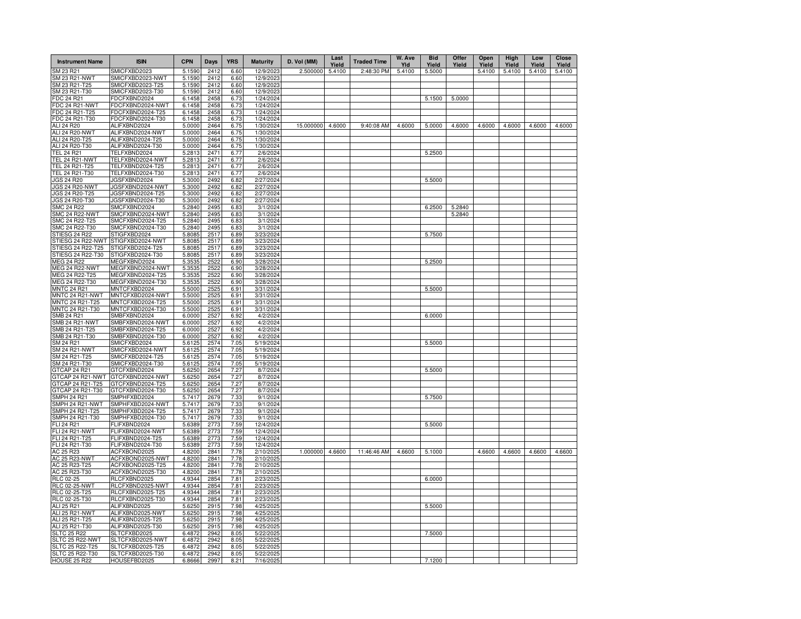| <b>Instrument Name</b>              | <b>ISIN</b>                          | <b>CPN</b>       | Days         | <b>YRS</b>   | <b>Maturity</b>        | D. Vol (MM) | Last<br>Yield | <b>Traded Time</b> | W. Ave<br>Yld | <b>Bid</b><br>Yield | Offer<br>Yield | Open<br>Yield | High<br>Yield | Low<br>Yield | Close<br>Yield |
|-------------------------------------|--------------------------------------|------------------|--------------|--------------|------------------------|-------------|---------------|--------------------|---------------|---------------------|----------------|---------------|---------------|--------------|----------------|
| SM 23 R21                           | SMICFXBD2023                         | 5.1590           | 2412         | 6.60         | 12/9/202               | 2.500000    | 5.4100        | 2:48:30 PM         | 5.4100        | 5.5000              |                | 5.4100        | 5.4100        | 5.4100       | 5.4100         |
| SM 23 R21-NWT                       | SMICFXBD2023-NWT                     | 5.1590           | 2412         | 6.60         | 12/9/202               |             |               |                    |               |                     |                |               |               |              |                |
| SM 23 R21-T25                       | SMICFXBD2023-T25                     | 5.1590           | 2412         | 6.60         | 12/9/202               |             |               |                    |               |                     |                |               |               |              |                |
| SM 23 R21-T30                       | SMICFXBD2023-T30                     | 5.1590           | 2412         | 6.60         | 12/9/2023              |             |               |                    |               |                     |                |               |               |              |                |
| FDC 24 R21                          | FDCFXBND2024                         | 6.1458           | 2458         | 6.73         | 1/24/2024              |             |               |                    |               | 5.1500              | 5.0000         |               |               |              |                |
| <b>FDC 24 R21-NWT</b>               | FDCFXBND2024-NWT                     | 6.1458           | 2458         | 6.73         | 1/24/2024              |             |               |                    |               |                     |                |               |               |              |                |
| FDC 24 R21-T25                      | FDCFXBND2024-T25                     | 6.1458           | 2458         | 6.73         | 1/24/2024              |             |               |                    |               |                     |                |               |               |              |                |
| FDC 24 R21-T30                      | FDCFXBND2024-T30                     | 6.1458           | 2458         | 6.73         | 1/24/2024              |             |               | 9:40:08 AM         |               |                     |                |               |               |              |                |
| ALI 24 R20<br><b>ALI 24 R20-NWT</b> | ALIFXBND2024<br>ALIFXBND2024-NWT     | 5.0000<br>5.0000 | 2464<br>2464 | 6.75<br>6.75 | 1/30/2024<br>1/30/2024 | 15.000000   | 4.6000        |                    | 4.6000        | 5.0000              | 4.6000         | 4.6000        | 4.6000        | 4.6000       | 4.6000         |
| ALI 24 R20-T25                      | ALIFXBND2024-T25                     | 5.0000           | 2464         | 6.75         | 1/30/2024              |             |               |                    |               |                     |                |               |               |              |                |
| ALI 24 R20-T30                      | ALIFXBND2024-T30                     | 5.0000           | 2464         | 6.75         | 1/30/2024              |             |               |                    |               |                     |                |               |               |              |                |
| <b>TEL 24 R21</b>                   | TELFXBND2024                         | 5.2813           | 2471         | 6.77         | 2/6/2024               |             |               |                    |               | 5.2500              |                |               |               |              |                |
| TEL 24 R21-NWT                      | TELFXBND2024-NWT                     | 5.2813           | 2471         | 6.77         | 2/6/2024               |             |               |                    |               |                     |                |               |               |              |                |
| TEL 24 R21-T25                      | TELFXBND2024-T25                     | 5.2813           | 2471         | 6.77         | 2/6/2024               |             |               |                    |               |                     |                |               |               |              |                |
| TEL 24 R21-T30                      | TELFXBND2024-T30                     | 5.2813           | 2471         | 6.77         | 2/6/2024               |             |               |                    |               |                     |                |               |               |              |                |
| <b>JGS 24 R20</b>                   | JGSFXBND2024                         | 5.3000           | 2492         | 6.82         | 2/27/2024              |             |               |                    |               | 5.5000              |                |               |               |              |                |
| JGS 24 R20-NWT                      | JGSFXBND2024-NWT                     | 5.3000           | 2492         | 6.82         | 2/27/2024              |             |               |                    |               |                     |                |               |               |              |                |
| JGS 24 R20-T25                      | JGSFXBND2024-T25                     | 5.3000           | 2492         | 6.82         | 2/27/2024              |             |               |                    |               |                     |                |               |               |              |                |
| JGS 24 R20-T30                      | JGSFXBND2024-T30                     | 5.3000           | 2492         | 6.82         | 2/27/2024              |             |               |                    |               |                     |                |               |               |              |                |
| SMC 24 R22                          | SMCFXBND2024                         | 5.2840           | 2495         | 6.83         | 3/1/2024               |             |               |                    |               | 6.2500              | 5.2840         |               |               |              |                |
| SMC 24 R22-NWT                      | SMCFXBND2024-NWT                     | 5.2840           | 2495         | 6.83         | 3/1/2024               |             |               |                    |               |                     | 5.2840         |               |               |              |                |
| SMC 24 R22-T25                      | SMCFXBND2024-T25                     | 5.2840           | 2495         | 6.83         | 3/1/2024               |             |               |                    |               |                     |                |               |               |              |                |
| SMC 24 R22-T30                      | SMCFXBND2024-T30                     | 5.2840           | 2495         | 6.83         | 3/1/2024               |             |               |                    |               |                     |                |               |               |              |                |
| STIESG 24 R22                       | STIGFXBD2024                         | 5.8085           | 2517         | 6.89         | 3/23/2024              |             |               |                    |               | 5.7500              |                |               |               |              |                |
| STIESG 24 R22-NWT                   | STIGFXBD2024-NWT                     | 5.8085           | 2517         | 6.89         | 3/23/2024              |             |               |                    |               |                     |                |               |               |              |                |
| STIESG 24 R22-T25                   | STIGFXBD2024-T25                     | 5.8085           | 2517         | 6.89         | 3/23/2024              |             |               |                    |               |                     |                |               |               |              |                |
| STIESG 24 R22-T30                   | STIGFXBD2024-T30                     | 5.8085           | 2517         | 6.89         | 3/23/2024              |             |               |                    |               |                     |                |               |               |              |                |
| MEG 24 R22                          | MEGFXBND2024                         | 5.3535           | 2522         | 6.90         | 3/28/2024              |             |               |                    |               | 5.2500              |                |               |               |              |                |
| <b>MEG 24 R22-NWT</b>               | MEGFXBND2024-NWT                     | 5.3535           | 252          | 6.90         | 3/28/2024              |             |               |                    |               |                     |                |               |               |              |                |
| MEG 24 R22-T25                      | MEGFXBND2024-T25                     | 5.3535           | 252          | 6.90         | 3/28/2024              |             |               |                    |               |                     |                |               |               |              |                |
| MEG 24 R22-T30                      | MEGFXBND2024-T30                     | 5.3535           | 2522         | 6.90         | 3/28/2024              |             |               |                    |               |                     |                |               |               |              |                |
| <b>MNTC 24 R21</b>                  | MNTCFXBD2024                         | 5.5000           | 2525         | 6.91         | 3/31/2024              |             |               |                    |               | 5.5000              |                |               |               |              |                |
| MNTC 24 R21-NWT<br>MNTC 24 R21-T25  | MNTCFXBD2024-NWT<br>MNTCFXBD2024-T25 | 5.5000<br>5.5000 | 2525<br>2525 | 6.91<br>6.91 | 3/31/2024<br>3/31/2024 |             |               |                    |               |                     |                |               |               |              |                |
| MNTC 24 R21-T30                     | MNTCFXBD2024-T30                     | 5.5000           | 2525         | 6.91         | 3/31/2024              |             |               |                    |               |                     |                |               |               |              |                |
| SMB 24 R21                          | SMBFXBND2024                         | 6.0000           | 2527         | 6.92         | 4/2/2024               |             |               |                    |               | 6.0000              |                |               |               |              |                |
| SMB 24 R21-NWT                      | SMBFXBND2024-NWT                     | 6.0000           | 2527         | 6.92         | 4/2/2024               |             |               |                    |               |                     |                |               |               |              |                |
| SMB 24 R21-T25                      | SMBFXBND2024-T25                     | 6.0000           | 2527         | 6.92         | 4/2/2024               |             |               |                    |               |                     |                |               |               |              |                |
| SMB 24 R21-T30                      | SMBFXBND2024-T30                     | 6.0000           | 2527         | 6.92         | 4/2/2024               |             |               |                    |               |                     |                |               |               |              |                |
| SM 24 R21                           | SMICFXBD2024                         | 5.6125           | 2574         | 7.05         | 5/19/2024              |             |               |                    |               | 5.5000              |                |               |               |              |                |
| SM 24 R21-NWT                       | SMICFXBD2024-NWT                     | 5.6125           | 2574         | 7.05         | 5/19/2024              |             |               |                    |               |                     |                |               |               |              |                |
| SM 24 R21-T25                       | SMICFXBD2024-T25                     | 5.6125           | 2574         | 7.05         | 5/19/2024              |             |               |                    |               |                     |                |               |               |              |                |
| SM 24 R21-T30                       | SMICFXBD2024-T30                     | 5.6125           | 2574         | 7.05         | 5/19/2024              |             |               |                    |               |                     |                |               |               |              |                |
| GTCAP 24 R21                        | GTCFXBND2024                         | 5.6250           | 2654         | 7.27         | 8/7/2024               |             |               |                    |               | 5.5000              |                |               |               |              |                |
| GTCAP 24 R21-NWT                    | GTCFXBND2024-NWT                     | 5.6250           | 2654         | 7.27         | 8/7/2024               |             |               |                    |               |                     |                |               |               |              |                |
| GTCAP 24 R21-T25                    | GTCFXBND2024-T25                     | 5.6250           | 2654         | 7.27         | 8/7/2024               |             |               |                    |               |                     |                |               |               |              |                |
| GTCAP 24 R21-T30                    | GTCFXBND2024-T30                     | 5.6250           | 2654         | 7.27         | 8/7/2024               |             |               |                    |               |                     |                |               |               |              |                |
| SMPH 24 R21                         | SMPHFXBD2024                         | 5.7417           | 2679         | 7.33         | 9/1/2024               |             |               |                    |               | 5.7500              |                |               |               |              |                |
| SMPH 24 R21-NWT                     | SMPHFXBD2024-NWT                     | 5.7417           | 2679         | 7.33         | 9/1/2024               |             |               |                    |               |                     |                |               |               |              |                |
| SMPH 24 R21-T25                     | SMPHFXBD2024-T25                     | 5.7417           | 2679         | 7.33         | 9/1/2024               |             |               |                    |               |                     |                |               |               |              |                |
| SMPH 24 R21-T30                     | SMPHFXBD2024-T30                     | 5.7417           | 2679         | 7.33         | 9/1/2024               |             |               |                    |               |                     |                |               |               |              |                |
| FLI 24 R21                          | FLIFXBND2024                         | 5.6389           | 2773         | 7.59         | 12/4/2024              |             |               |                    |               | 5.5000              |                |               |               |              |                |
| <b>FLI 24 R21-NWT</b>               | FLIFXBND2024-NWT                     | 5.6389           | 2773         | 7.59         | 12/4/2024              |             |               |                    |               |                     |                |               |               |              |                |
| FLI 24 R21-T25                      | FLIFXBND2024-T25                     | 5.6389           | 2773         | 7.59         | 12/4/2024              |             |               |                    |               |                     |                |               |               |              |                |
| FLI 24 R21-T30<br>AC 25 R23         | FLIFXBND2024-T30<br>ACFXBOND2025     | 5.6389<br>4.8200 | 277<br>284   | 7.59<br>7.78 | 12/4/2024<br>2/10/2025 | 1.000000    | 4.6600        | 11:46:46 AM        | 4.6600        | 5.1000              |                | 4.6600        | 4.6600        | 4.6600       | 4.6600         |
| <b>AC 25 R23-NWT</b>                | ACFXBOND2025-NWT                     | 4.8200           | 284          | 7.78         | 2/10/2025              |             |               |                    |               |                     |                |               |               |              |                |
| AC 25 R23-T25                       | ACFXBOND2025-T25                     | 4.8200           | 284          | 7.78         | 2/10/2025              |             |               |                    |               |                     |                |               |               |              |                |
| AC 25 R23-T30                       | ACFXBOND2025-T30                     | 4.8200           | 284          | 7.78         | 2/10/2025              |             |               |                    |               |                     |                |               |               |              |                |
| <b>RLC 02-25</b>                    | RLCFXBND2025                         | 4.9344           | 2854         | 7.81         | 2/23/2025              |             |               |                    |               | 6.0000              |                |               |               |              |                |
| <b>RLC 02-25-NWT</b>                | RLCFXBND2025-NWT                     | 4.9344           | 2854         | 7.81         | 2/23/2025              |             |               |                    |               |                     |                |               |               |              |                |
| RLC 02-25-T25                       | RLCFXBND2025-T25                     | 4.9344           | 2854         | 7.81         | 2/23/2025              |             |               |                    |               |                     |                |               |               |              |                |
| RLC 02-25-T30                       | RLCFXBND2025-T30                     | 4.9344           | 2854         | 7.81         | 2/23/2025              |             |               |                    |               |                     |                |               |               |              |                |
| ALI 25 R21                          | ALIFXBND2025                         | 5.6250           | 2915         | 7.98         | 4/25/2025              |             |               |                    |               | 5.5000              |                |               |               |              |                |
| ALI 25 R21-NWT                      | ALIFXBND2025-NWT                     | 5.6250           | 2915         | 7.98         | 4/25/2025              |             |               |                    |               |                     |                |               |               |              |                |
| ALI 25 R21-T25                      | ALIFXBND2025-T25                     | 5.6250           | 2915         | 7.98         | 4/25/2025              |             |               |                    |               |                     |                |               |               |              |                |
| ALI 25 R21-T30                      | ALIFXBND2025-T30                     | 5.6250           | 2915         | 7.98         | 4/25/2025              |             |               |                    |               |                     |                |               |               |              |                |
| <b>SLTC 25 R22</b>                  | SLTCFXBD2025                         | 6.4872           | 2942         | 8.05         | 5/22/2025              |             |               |                    |               | 7.5000              |                |               |               |              |                |
| <b>SLTC 25 R22-NWT</b>              | SLTCFXBD2025-NWT                     | 6.4872           | 2942         | 8.05         | 5/22/2025              |             |               |                    |               |                     |                |               |               |              |                |
| SLTC 25 R22-T25                     | SLTCFXBD2025-T25                     | 6.4872           | 2942         | 8.05         | 5/22/2025              |             |               |                    |               |                     |                |               |               |              |                |
| SLTC 25 R22-T30                     | SLTCFXBD2025-T30                     | 6.4872           | 2942         | 8.05         | 5/22/2025              |             |               |                    |               |                     |                |               |               |              |                |
| <b>HOUSE 25 R22</b>                 | HOUSEFBD2025                         | 6.8666           | 2997         | 8.21         | 7/16/2025              |             |               |                    |               | 7.1200              |                |               |               |              |                |